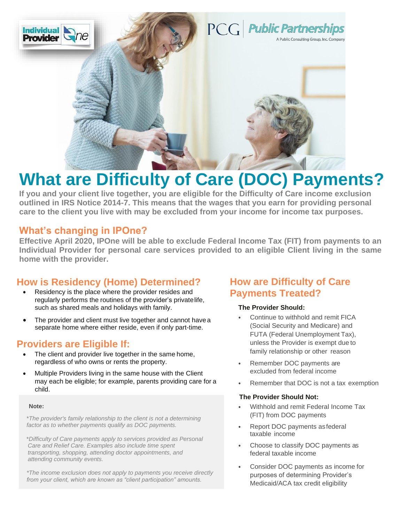

# **What are Difficulty of Care (DOC) Payments?**

**If you and your client live together, you are eligible for the Difficulty of Care income exclusion outlined in IRS Notice 2014-7. This means that the wages that you earn for providing personal care to the client you live with may be excluded from your income for income tax purposes.**

### **What's changing in IPOne?**

**Effective April 2020, IPOne will be able to exclude Federal Income Tax (FIT) from payments to an Individual Provider for personal care services provided to an eligible Client living in the same home with the provider.**

## **How is Residency (Home) Determined?**

- Residency is the place where the provider resides and regularly performs the routines of the provider's privatelife, such as shared meals and holidays with family.
- The provider and client must live together and cannot have a separate home where either reside, even if only part-time.

## **Providers are Eligible If:**

- The client and provider live together in the same home, regardless of who owns or rents the property.
- Multiple Providers living in the same house with the Client may each be eligible; for example, parents providing care for a child.

#### **Note:**

\**The provider's family relationship to the client is not a determining factor as to whether payments qualify as DOC payments.*

\**Difficulty of Care payments apply to services provided as Personal Care and Relief Care. Examples also include time spent transporting, shopping, attending doctor appointments, and attending community events.*

*\*The income exclusion does not apply to payments you receive directly from your client, which are known as "client participation" amounts.*

## **How are Difficulty of Care Payments Treated?**

#### **The Provider Should:**

- Continue to withhold and remit FICA (Social Security and Medicare) and FUTA (Federal Unemployment Tax), unless the Provider is exempt due to family relationship or other reason
- Remember DOC payments are excluded from federal income
- Remember that DOC is not a tax exemption

#### **The Provider Should Not:**

- Withhold and remit Federal Income Tax (FIT) from DOC payments
- Report DOC payments as federal taxable income
- Choose to classify DOC payments as federal taxable income
- Consider DOC payments as income for purposes of determining Provider's Medicaid/ACA tax credit eligibility